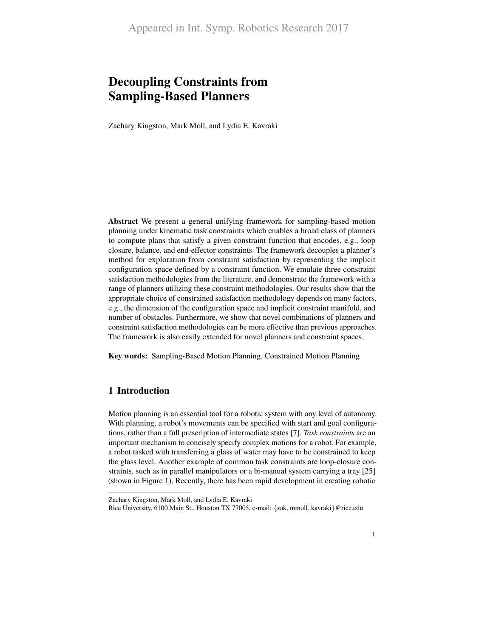Zachary Kingston, Mark Moll, and Lydia E. Kavraki

Abstract We present a general unifying framework for sampling-based motion planning under kinematic task constraints which enables a broad class of planners to compute plans that satisfy a given constraint function that encodes, e.g., loop closure, balance, and end-effector constraints. The framework decouples a planner's method for exploration from constraint satisfaction by representing the implicit configuration space defined by a constraint function. We emulate three constraint satisfaction methodologies from the literature, and demonstrate the framework with a range of planners utilizing these constraint methodologies. Our results show that the appropriate choice of constrained satisfaction methodology depends on many factors, e.g., the dimension of the configuration space and implicit constraint manifold, and number of obstacles. Furthermore, we show that novel combinations of planners and constraint satisfaction methodologies can be more effective than previous approaches. The framework is also easily extended for novel planners and constraint spaces.

Key words: Sampling-Based Motion Planning, Constrained Motion Planning

# 1 Introduction

Motion planning is an essential tool for a robotic system with any level of autonomy. With planning, a robot's movements can be specified with start and goal configurations, rather than a full prescription of intermediate states [7]. *Task constraints* are an important mechanism to concisely specify complex motions for a robot. For example, a robot tasked with transferring a glass of water may have to be constrained to keep the glass level. Another example of common task constraints are loop-closure constraints, such as in parallel manipulators or a bi-manual system carrying a tray [25] (shown in Figure 1). Recently, there has been rapid development in creating robotic

Zachary Kingston, Mark Moll, and Lydia E. Kavraki

Rice University, 6100 Main St., Houston TX 77005, e-mail: {zak, mmoll, kavraki}@rice.edu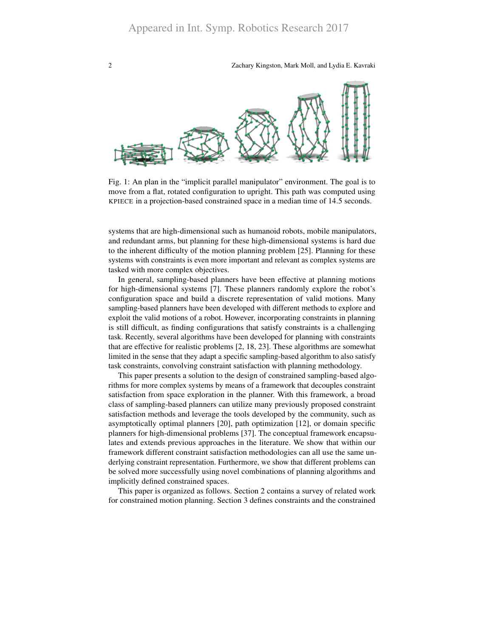

Fig. 1: An plan in the "implicit parallel manipulator" environment. The goal is to move from a flat, rotated configuration to upright. This path was computed using KPIECE in a projection-based constrained space in a median time of 14.5 seconds.

systems that are high-dimensional such as humanoid robots, mobile manipulators, and redundant arms, but planning for these high-dimensional systems is hard due to the inherent difficulty of the motion planning problem [25]. Planning for these systems with constraints is even more important and relevant as complex systems are tasked with more complex objectives.

In general, sampling-based planners have been effective at planning motions for high-dimensional systems [7]. These planners randomly explore the robot's configuration space and build a discrete representation of valid motions. Many sampling-based planners have been developed with different methods to explore and exploit the valid motions of a robot. However, incorporating constraints in planning is still difficult, as finding configurations that satisfy constraints is a challenging task. Recently, several algorithms have been developed for planning with constraints that are effective for realistic problems [2, 18, 23]. These algorithms are somewhat limited in the sense that they adapt a specific sampling-based algorithm to also satisfy task constraints, convolving constraint satisfaction with planning methodology.

This paper presents a solution to the design of constrained sampling-based algorithms for more complex systems by means of a framework that decouples constraint satisfaction from space exploration in the planner. With this framework, a broad class of sampling-based planners can utilize many previously proposed constraint satisfaction methods and leverage the tools developed by the community, such as asymptotically optimal planners [20], path optimization [12], or domain specific planners for high-dimensional problems [37]. The conceptual framework encapsulates and extends previous approaches in the literature. We show that within our framework different constraint satisfaction methodologies can all use the same underlying constraint representation. Furthermore, we show that different problems can be solved more successfully using novel combinations of planning algorithms and implicitly defined constrained spaces.

This paper is organized as follows. Section 2 contains a survey of related work for constrained motion planning. Section 3 defines constraints and the constrained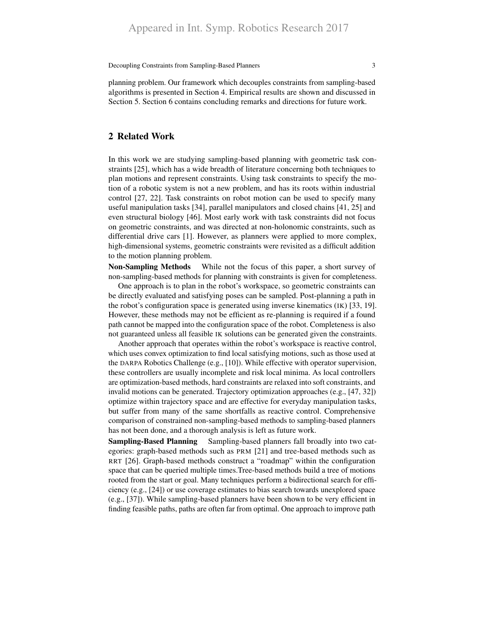# Appeared in Int. Symp. Robotics Research 2017

Decoupling Constraints from Sampling-Based Planners 3

planning problem. Our framework which decouples constraints from sampling-based algorithms is presented in Section 4. Empirical results are shown and discussed in Section 5. Section 6 contains concluding remarks and directions for future work.

### 2 Related Work

In this work we are studying sampling-based planning with geometric task constraints [25], which has a wide breadth of literature concerning both techniques to plan motions and represent constraints. Using task constraints to specify the motion of a robotic system is not a new problem, and has its roots within industrial control [27, 22]. Task constraints on robot motion can be used to specify many useful manipulation tasks [34], parallel manipulators and closed chains [41, 25] and even structural biology [46]. Most early work with task constraints did not focus on geometric constraints, and was directed at non-holonomic constraints, such as differential drive cars [1]. However, as planners were applied to more complex, high-dimensional systems, geometric constraints were revisited as a difficult addition to the motion planning problem.

Non-Sampling Methods While not the focus of this paper, a short survey of non-sampling-based methods for planning with constraints is given for completeness.

One approach is to plan in the robot's workspace, so geometric constraints can be directly evaluated and satisfying poses can be sampled. Post-planning a path in the robot's configuration space is generated using inverse kinematics (IK) [33, 19]. However, these methods may not be efficient as re-planning is required if a found path cannot be mapped into the configuration space of the robot. Completeness is also not guaranteed unless all feasible IK solutions can be generated given the constraints.

Another approach that operates within the robot's workspace is reactive control, which uses convex optimization to find local satisfying motions, such as those used at the DARPA Robotics Challenge (e.g., [10]). While effective with operator supervision, these controllers are usually incomplete and risk local minima. As local controllers are optimization-based methods, hard constraints are relaxed into soft constraints, and invalid motions can be generated. Trajectory optimization approaches (e.g., [47, 32]) optimize within trajectory space and are effective for everyday manipulation tasks, but suffer from many of the same shortfalls as reactive control. Comprehensive comparison of constrained non-sampling-based methods to sampling-based planners has not been done, and a thorough analysis is left as future work.

**Sampling-Based Planning** Sampling-based planners fall broadly into two categories: graph-based methods such as PRM [21] and tree-based methods such as RRT [26]. Graph-based methods construct a "roadmap" within the configuration space that can be queried multiple times.Tree-based methods build a tree of motions rooted from the start or goal. Many techniques perform a bidirectional search for efficiency (e.g., [24]) or use coverage estimates to bias search towards unexplored space (e.g., [37]). While sampling-based planners have been shown to be very efficient in finding feasible paths, paths are often far from optimal. One approach to improve path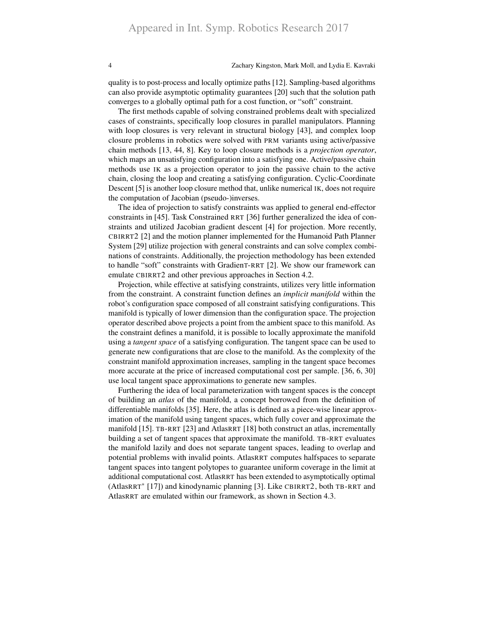quality is to post-process and locally optimize paths [12]. Sampling-based algorithms can also provide asymptotic optimality guarantees [20] such that the solution path converges to a globally optimal path for a cost function, or "soft" constraint.

The first methods capable of solving constrained problems dealt with specialized cases of constraints, specifically loop closures in parallel manipulators. Planning with loop closures is very relevant in structural biology [43], and complex loop closure problems in robotics were solved with PRM variants using active/passive chain methods [13, 44, 8]. Key to loop closure methods is a *projection operator*, which maps an unsatisfying configuration into a satisfying one. Active/passive chain methods use IK as a projection operator to join the passive chain to the active chain, closing the loop and creating a satisfying configuration. Cyclic-Coordinate Descent [5] is another loop closure method that, unlike numerical IK, does not require the computation of Jacobian (pseudo-)inverses.

The idea of projection to satisfy constraints was applied to general end-effector constraints in [45]. Task Constrained RRT [36] further generalized the idea of constraints and utilized Jacobian gradient descent [4] for projection. More recently, CBIRRT2 [2] and the motion planner implemented for the Humanoid Path Planner System [29] utilize projection with general constraints and can solve complex combinations of constraints. Additionally, the projection methodology has been extended to handle "soft" constraints with GradienT-RRT [2]. We show our framework can emulate CBIRRT2 and other previous approaches in Section 4.2.

Projection, while effective at satisfying constraints, utilizes very little information from the constraint. A constraint function defines an *implicit manifold* within the robot's configuration space composed of all constraint satisfying configurations. This manifold is typically of lower dimension than the configuration space. The projection operator described above projects a point from the ambient space to this manifold. As the constraint defines a manifold, it is possible to locally approximate the manifold using a *tangent space* of a satisfying configuration. The tangent space can be used to generate new configurations that are close to the manifold. As the complexity of the constraint manifold approximation increases, sampling in the tangent space becomes more accurate at the price of increased computational cost per sample. [36, 6, 30] use local tangent space approximations to generate new samples.

Furthering the idea of local parameterization with tangent spaces is the concept of building an *atlas* of the manifold, a concept borrowed from the definition of differentiable manifolds [35]. Here, the atlas is defined as a piece-wise linear approximation of the manifold using tangent spaces, which fully cover and approximate the manifold [15]. TB-RRT [23] and AtlasRRT [18] both construct an atlas, incrementally building a set of tangent spaces that approximate the manifold. TB-RRT evaluates the manifold lazily and does not separate tangent spaces, leading to overlap and potential problems with invalid points. AtlasRRT computes halfspaces to separate tangent spaces into tangent polytopes to guarantee uniform coverage in the limit at additional computational cost. AtlasRRT has been extended to asymptotically optimal (AtlasRRT<sup>∗</sup> [17]) and kinodynamic planning [3]. Like CBIRRT2, both TB-RRT and AtlasRRT are emulated within our framework, as shown in Section 4.3.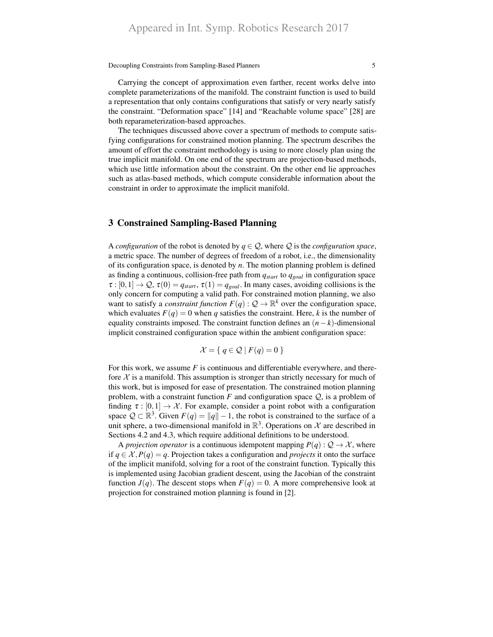Carrying the concept of approximation even farther, recent works delve into complete parameterizations of the manifold. The constraint function is used to build a representation that only contains configurations that satisfy or very nearly satisfy the constraint. "Deformation space" [14] and "Reachable volume space" [28] are both reparameterization-based approaches.

The techniques discussed above cover a spectrum of methods to compute satisfying configurations for constrained motion planning. The spectrum describes the amount of effort the constraint methodology is using to more closely plan using the true implicit manifold. On one end of the spectrum are projection-based methods, which use little information about the constraint. On the other end lie approaches such as atlas-based methods, which compute considerable information about the constraint in order to approximate the implicit manifold.

#### 3 Constrained Sampling-Based Planning

A *configuration* of the robot is denoted by  $q \in \mathcal{Q}$ , where  $\mathcal Q$  is the *configuration space*, a metric space. The number of degrees of freedom of a robot, i.e., the dimensionality of its configuration space, is denoted by *n*. The motion planning problem is defined as finding a continuous, collision-free path from *qstart* to *qgoal* in configuration space  $\tau$ :  $[0,1] \rightarrow \mathcal{Q}$ ,  $\tau(0) = q_{start}$ ,  $\tau(1) = q_{goal}$ . In many cases, avoiding collisions is the only concern for computing a valid path. For constrained motion planning, we also want to satisfy a *constraint function*  $F(q)$ :  $\mathcal{Q} \to \mathbb{R}^k$  over the configuration space, which evaluates  $F(q) = 0$  when *q* satisfies the constraint. Here, *k* is the number of equality constraints imposed. The constraint function defines an (*n*−*k*)-dimensional implicit constrained configuration space within the ambient configuration space:

$$
\mathcal{X} = \{ q \in \mathcal{Q} \mid F(q) = 0 \}
$$

For this work, we assume  $F$  is continuous and differentiable everywhere, and therefore  $X$  is a manifold. This assumption is stronger than strictly necessary for much of this work, but is imposed for ease of presentation. The constrained motion planning problem, with a constraint function  $F$  and configuration space  $Q$ , is a problem of finding  $\tau : [0,1] \to \mathcal{X}$ . For example, consider a point robot with a configuration space  $\mathcal{Q} \subset \mathbb{R}^3$ . Given  $F(q) = ||q|| - 1$ , the robot is constrained to the surface of a unit sphere, a two-dimensional manifold in  $\mathbb{R}^3$ . Operations on X are described in Sections 4.2 and 4.3, which require additional definitions to be understood.

A *projection operator* is a continuous idempotent mapping  $P(q)$ :  $Q \rightarrow \mathcal{X}$ , where if  $q \in \mathcal{X}, P(q) = q$ . Projection takes a configuration and *projects* it onto the surface of the implicit manifold, solving for a root of the constraint function. Typically this is implemented using Jacobian gradient descent, using the Jacobian of the constraint function  $J(q)$ . The descent stops when  $F(q) = 0$ . A more comprehensive look at projection for constrained motion planning is found in [2].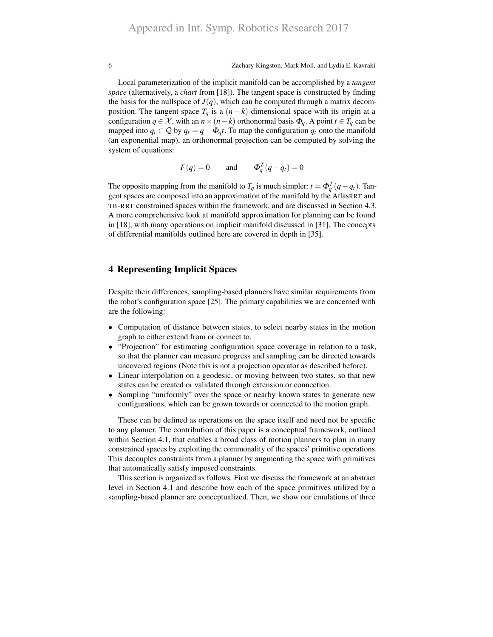Local parameterization of the implicit manifold can be accomplished by a *tangent space* (alternatively, a *chart* from [18]). The tangent space is constructed by finding the basis for the nullspace of  $J(q)$ , which can be computed through a matrix decomposition. The tangent space  $T_q$  is a  $(n-k)$ -dimensional space with its origin at a configuration  $q \in \mathcal{X}$ , with an  $n \times (n-k)$  orthonormal basis  $\Phi_q$ . A point  $t \in T_q$  can be mapped into  $q_t \in \mathcal{Q}$  by  $q_t = q + \Phi_q t$ . To map the configuration  $q_t$  onto the manifold (an exponential map), an orthonormal projection can be computed by solving the system of equations:

$$
F(q) = 0 \qquad \text{and} \qquad \Phi_q^T(q - q_t) = 0
$$

The opposite mapping from the manifold to  $T_q$  is much simpler:  $t = \Phi_q^T(q - q_t)$ . Tangent spaces are composed into an approximation of the manifold by the AtlasRRT and TB-RRT constrained spaces within the framework, and are discussed in Section 4.3. A more comprehensive look at manifold approximation for planning can be found in [18], with many operations on implicit manifold discussed in [31]. The concepts of differential manifolds outlined here are covered in depth in [35].

# 4 Representing Implicit Spaces

Despite their differences, sampling-based planners have similar requirements from the robot's configuration space [25]. The primary capabilities we are concerned with are the following:

- Computation of distance between states, to select nearby states in the motion graph to either extend from or connect to.
- "Projection" for estimating configuration space coverage in relation to a task, so that the planner can measure progress and sampling can be directed towards uncovered regions (Note this is not a projection operator as described before).
- Linear interpolation on a geodesic, or moving between two states, so that new states can be created or validated through extension or connection.
- Sampling "uniformly" over the space or nearby known states to generate new configurations, which can be grown towards or connected to the motion graph.

These can be defined as operations on the space itself and need not be specific to any planner. The contribution of this paper is a conceptual framework, outlined within Section 4.1, that enables a broad class of motion planners to plan in many constrained spaces by exploiting the commonality of the spaces' primitive operations. This decouples constraints from a planner by augmenting the space with primitives that automatically satisfy imposed constraints.

This section is organized as follows. First we discuss the framework at an abstract level in Section 4.1 and describe how each of the space primitives utilized by a sampling-based planner are conceptualized. Then, we show our emulations of three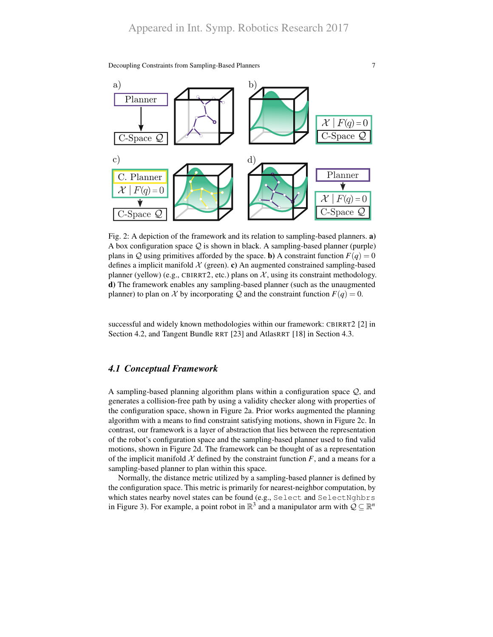

Fig. 2: A depiction of the framework and its relation to sampling-based planners. a) A box configuration space  $Q$  is shown in black. A sampling-based planner (purple) plans in Q using primitives afforded by the space. **b**) A constraint function  $F(q) = 0$ defines a implicit manifold  $\mathcal X$  (green). c) An augmented constrained sampling-based planner (yellow) (e.g., CBIRRT2, etc.) plans on  $X$ , using its constraint methodology. d) The framework enables any sampling-based planner (such as the unaugmented planner) to plan on X by incorporating Q and the constraint function  $F(q) = 0$ .

successful and widely known methodologies within our framework: CBIRRT2 [2] in Section 4.2, and Tangent Bundle RRT [23] and AtlasRRT [18] in Section 4.3.

### *4.1 Conceptual Framework*

A sampling-based planning algorithm plans within a configuration space Q, and generates a collision-free path by using a validity checker along with properties of the configuration space, shown in Figure 2a. Prior works augmented the planning algorithm with a means to find constraint satisfying motions, shown in Figure 2c. In contrast, our framework is a layer of abstraction that lies between the representation of the robot's configuration space and the sampling-based planner used to find valid motions, shown in Figure 2d. The framework can be thought of as a representation of the implicit manifold  $X$  defined by the constraint function  $F$ , and a means for a sampling-based planner to plan within this space.

Normally, the distance metric utilized by a sampling-based planner is defined by the configuration space. This metric is primarily for nearest-neighbor computation, by which states nearby novel states can be found (e.g., Select and SelectNghbrs in Figure 3). For example, a point robot in  $\mathbb{R}^3$  and a manipulator arm with  $\mathcal{Q} \subseteq \mathbb{R}^n$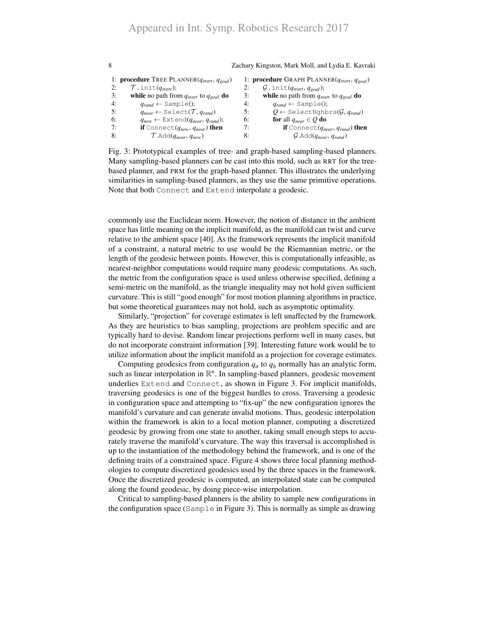# Appeared in Int. Symp. Robotics Research 2017

#### Zachary Kingston, Mark Moll, and Lydia E. Kavraki

|    | 1: <b>procedure</b> TREE PLANNER( $q_{start}$ , $q_{goal}$ ) |    | 1: <b>procedure</b> GRAPH PLANNER( $q_{start}$ , $q_{goal}$ ) |
|----|--------------------------------------------------------------|----|---------------------------------------------------------------|
| 2: | $\mathcal{T}.$ init $(q_{start})$ ;                          | 2: | $G.\text{init}(q_{start}, q_{goal});$                         |
| 3: | while no path from $q_{start}$ to $q_{goal}$ do              | 3: | while no path from $q_{start}$ to $q_{goal}$ do               |
| 4: | $q_{rand} \leftarrow$ Sample();                              | 4: | $q_{rand} \leftarrow$ Sample();                               |
| 5: | $q_{near} \leftarrow$ Select(T, $q_{rand}$ )                 | 5: | $Q \leftarrow$ SelectNghbrs( $G, q_{rand}$ )                  |
| 6: | $q_{new} \leftarrow$ Extend $(q_{near}, q_{rand})$ ;         | 6: | <b>for</b> all $q_{near} \in Q$ <b>do</b>                     |
| 7: | if Connect $(q_{new}, q_{near})$ then                        | 7: | if Connect $(q_{near}, q_{rand})$ then                        |
| 8: | $\mathcal{T}$ . Add $(q_{near}, q_{new})$                    | 8: | $G.\text{Add}(q_{near}, q_{rand})$                            |

Fig. 3: Prototypical examples of tree- and graph-based sampling-based planners. Many sampling-based planners can be cast into this mold, such as RRT for the treebased planner, and PRM for the graph-based planner. This illustrates the underlying similarities in sampling-based planners, as they use the same primitive operations. Note that both Connect and Extend interpolate a geodesic.

commonly use the Euclidean norm. However, the notion of distance in the ambient space has little meaning on the implicit manifold, as the manifold can twist and curve relative to the ambient space [40]. As the framework represents the implicit manifold of a constraint, a natural metric to use would be the Riemannian metric, or the length of the geodesic between points. However, this is computationally infeasible, as nearest-neighbor computations would require many geodesic computations. As such, the metric from the configuration space is used unless otherwise specified, defining a semi-metric on the manifold, as the triangle inequality may not hold given sufficient curvature. This is still "good enough" for most motion planning algorithms in practice, but some theoretical guarantees may not hold, such as asymptotic optimality.

Similarly, "projection" for coverage estimates is left unaffected by the framework. As they are heuristics to bias sampling, projections are problem specific and are typically hard to devise. Random linear projections perform well in many cases, but do not incorporate constraint information [39]. Interesting future work would be to utilize information about the implicit manifold as a projection for coverage estimates.

Computing geodesics from configuration  $q_a$  to  $q_b$  normally has an analytic form, such as linear interpolation in  $\mathbb{R}^n$ . In sampling-based planners, geodesic movement underlies Extend and Connect, as shown in Figure 3. For implicit manifolds, traversing geodesics is one of the biggest hurdles to cross. Traversing a geodesic in configuration space and attempting to "fix-up" the new configuration ignores the manifold's curvature and can generate invalid motions. Thus, geodesic interpolation within the framework is akin to a local motion planner, computing a discretized geodesic by growing from one state to another, taking small enough steps to accurately traverse the manifold's curvature. The way this traversal is accomplished is up to the instantiation of the methodology behind the framework, and is one of the defining traits of a constrained space. Figure 4 shows three local planning methodologies to compute discretized geodesics used by the three spaces in the framework. Once the discretized geodesic is computed, an interpolated state can be computed along the found geodesic, by doing piece-wise interpolation.

Critical to sampling-based planners is the ability to sample new configurations in the configuration space (Sample in Figure 3). This is normally as simple as drawing

| ٧ |  |   |  |
|---|--|---|--|
|   |  |   |  |
|   |  |   |  |
|   |  | ٦ |  |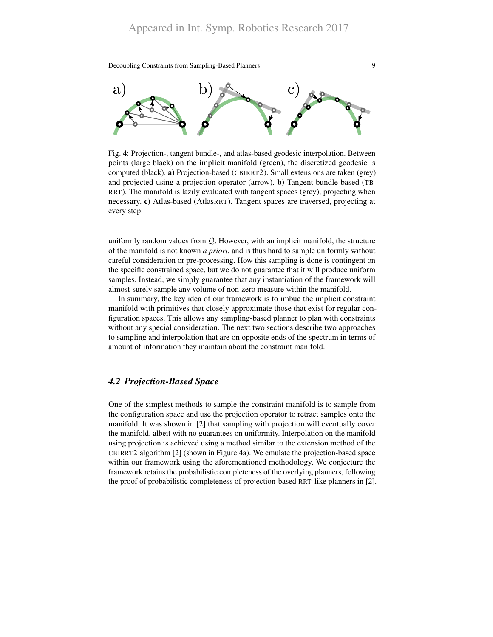

Fig. 4: Projection-, tangent bundle-, and atlas-based geodesic interpolation. Between points (large black) on the implicit manifold (green), the discretized geodesic is computed (black). a) Projection-based (CBIRRT2). Small extensions are taken (grey) and projected using a projection operator (arrow). b) Tangent bundle-based (TB-RRT). The manifold is lazily evaluated with tangent spaces (grey), projecting when necessary. c) Atlas-based (AtlasRRT). Tangent spaces are traversed, projecting at every step.

uniformly random values from  $Q$ . However, with an implicit manifold, the structure of the manifold is not known *a priori*, and is thus hard to sample uniformly without careful consideration or pre-processing. How this sampling is done is contingent on the specific constrained space, but we do not guarantee that it will produce uniform samples. Instead, we simply guarantee that any instantiation of the framework will almost-surely sample any volume of non-zero measure within the manifold.

In summary, the key idea of our framework is to imbue the implicit constraint manifold with primitives that closely approximate those that exist for regular configuration spaces. This allows any sampling-based planner to plan with constraints without any special consideration. The next two sections describe two approaches to sampling and interpolation that are on opposite ends of the spectrum in terms of amount of information they maintain about the constraint manifold.

# *4.2 Projection-Based Space*

One of the simplest methods to sample the constraint manifold is to sample from the configuration space and use the projection operator to retract samples onto the manifold. It was shown in [2] that sampling with projection will eventually cover the manifold, albeit with no guarantees on uniformity. Interpolation on the manifold using projection is achieved using a method similar to the extension method of the CBIRRT2 algorithm [2] (shown in Figure 4a). We emulate the projection-based space within our framework using the aforementioned methodology. We conjecture the framework retains the probabilistic completeness of the overlying planners, following the proof of probabilistic completeness of projection-based RRT-like planners in [2].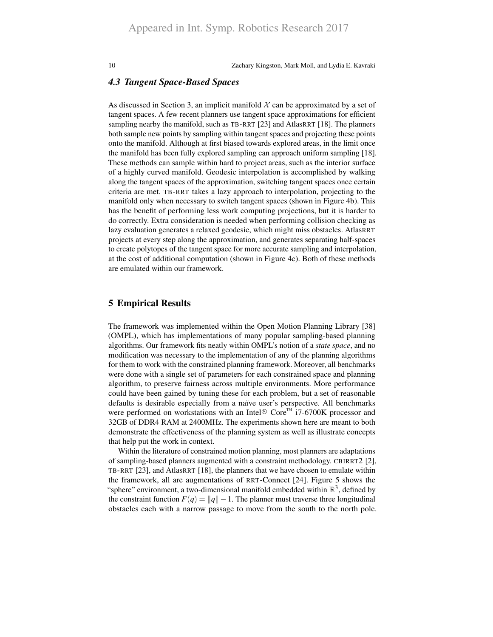#### *4.3 Tangent Space-Based Spaces*

As discussed in Section 3, an implicit manifold  $X$  can be approximated by a set of tangent spaces. A few recent planners use tangent space approximations for efficient sampling nearby the manifold, such as TB-RRT [23] and AtlasRRT [18]. The planners both sample new points by sampling within tangent spaces and projecting these points onto the manifold. Although at first biased towards explored areas, in the limit once the manifold has been fully explored sampling can approach uniform sampling [18]. These methods can sample within hard to project areas, such as the interior surface of a highly curved manifold. Geodesic interpolation is accomplished by walking along the tangent spaces of the approximation, switching tangent spaces once certain criteria are met. TB-RRT takes a lazy approach to interpolation, projecting to the manifold only when necessary to switch tangent spaces (shown in Figure 4b). This has the benefit of performing less work computing projections, but it is harder to do correctly. Extra consideration is needed when performing collision checking as lazy evaluation generates a relaxed geodesic, which might miss obstacles. AtlasRRT projects at every step along the approximation, and generates separating half-spaces to create polytopes of the tangent space for more accurate sampling and interpolation, at the cost of additional computation (shown in Figure 4c). Both of these methods are emulated within our framework.

### 5 Empirical Results

The framework was implemented within the Open Motion Planning Library [38] (OMPL), which has implementations of many popular sampling-based planning algorithms. Our framework fits neatly within OMPL's notion of a *state space*, and no modification was necessary to the implementation of any of the planning algorithms for them to work with the constrained planning framework. Moreover, all benchmarks were done with a single set of parameters for each constrained space and planning algorithm, to preserve fairness across multiple environments. More performance could have been gained by tuning these for each problem, but a set of reasonable defaults is desirable especially from a naïve user's perspective. All benchmarks were performed on workstations with an Intel®  $\text{Core}^{\text{TM}}$  i7-6700K processor and 32GB of DDR4 RAM at 2400MHz. The experiments shown here are meant to both demonstrate the effectiveness of the planning system as well as illustrate concepts that help put the work in context.

Within the literature of constrained motion planning, most planners are adaptations of sampling-based planners augmented with a constraint methodology. CBIRRT2 [2], TB-RRT [23], and AtlasRRT [18], the planners that we have chosen to emulate within the framework, all are augmentations of RRT-Connect [24]. Figure 5 shows the "sphere" environment, a two-dimensional manifold embedded within  $\mathbb{R}^3$ , defined by the constraint function  $F(q) = ||q|| - 1$ . The planner must traverse three longitudinal obstacles each with a narrow passage to move from the south to the north pole.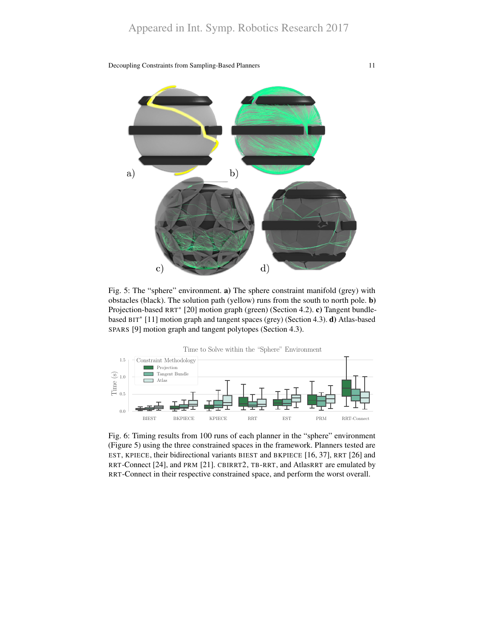

Fig. 5: The "sphere" environment. a) The sphere constraint manifold (grey) with obstacles (black). The solution path (yellow) runs from the south to north pole. b) Projection-based RRT<sup>∗</sup> [20] motion graph (green) (Section 4.2). c) Tangent bundlebased BIT<sup>\*</sup> [11] motion graph and tangent spaces (grey) (Section 4.3). **d**) Atlas-based SPARS [9] motion graph and tangent polytopes (Section 4.3).



Fig. 6: Timing results from 100 runs of each planner in the "sphere" environment (Figure 5) using the three constrained spaces in the framework. Planners tested are EST, KPIECE, their bidirectional variants BIEST and BKPIECE [16, 37], RRT [26] and RRT-Connect [24], and PRM [21]. CBIRRT2, TB-RRT, and AtlasRRT are emulated by RRT-Connect in their respective constrained space, and perform the worst overall.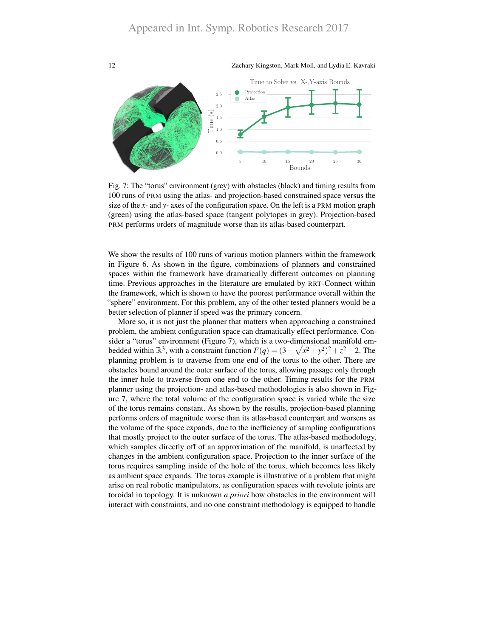

Fig. 7: The "torus" environment (grey) with obstacles (black) and timing results from 100 runs of PRM using the atlas- and projection-based constrained space versus the size of the *x*- and *y*- axes of the configuration space. On the left is a PRM motion graph (green) using the atlas-based space (tangent polytopes in grey). Projection-based PRM performs orders of magnitude worse than its atlas-based counterpart.

We show the results of 100 runs of various motion planners within the framework in Figure 6. As shown in the figure, combinations of planners and constrained spaces within the framework have dramatically different outcomes on planning time. Previous approaches in the literature are emulated by RRT-Connect within the framework, which is shown to have the poorest performance overall within the "sphere" environment. For this problem, any of the other tested planners would be a better selection of planner if speed was the primary concern.

More so, it is not just the planner that matters when approaching a constrained problem, the ambient configuration space can dramatically effect performance. Consider a "torus" environment (Figure 7), which is a two-dimensional manifold embedded within  $\mathbb{R}^3$ , with a constraint function  $F(q) = (3 - \sqrt{x^2 + y^2})^2 + z^2 - 2$ . The planning problem is to traverse from one end of the torus to the other. There are obstacles bound around the outer surface of the torus, allowing passage only through the inner hole to traverse from one end to the other. Timing results for the PRM planner using the projection- and atlas-based methodologies is also shown in Figure 7, where the total volume of the configuration space is varied while the size of the torus remains constant. As shown by the results, projection-based planning performs orders of magnitude worse than its atlas-based counterpart and worsens as the volume of the space expands, due to the inefficiency of sampling configurations that mostly project to the outer surface of the torus. The atlas-based methodology, which samples directly off of an approximation of the manifold, is unaffected by changes in the ambient configuration space. Projection to the inner surface of the torus requires sampling inside of the hole of the torus, which becomes less likely as ambient space expands. The torus example is illustrative of a problem that might arise on real robotic manipulators, as configuration spaces with revolute joints are toroidal in topology. It is unknown *a priori* how obstacles in the environment will interact with constraints, and no one constraint methodology is equipped to handle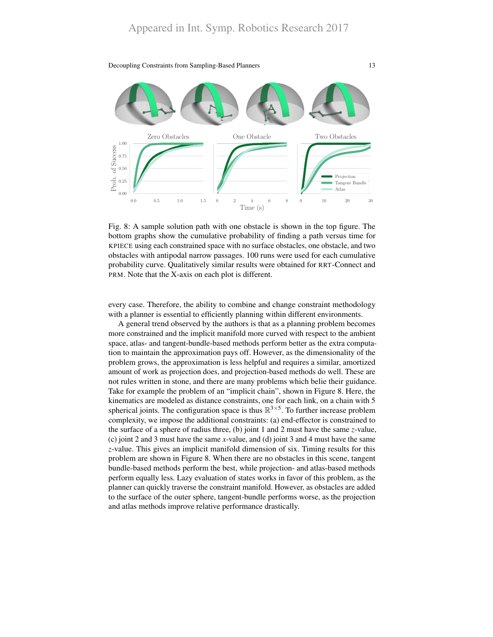

Fig. 8: A sample solution path with one obstacle is shown in the top figure. The bottom graphs show the cumulative probability of finding a path versus time for KPIECE using each constrained space with no surface obstacles, one obstacle, and two obstacles with antipodal narrow passages. 100 runs were used for each cumulative probability curve. Qualitatively similar results were obtained for RRT-Connect and PRM. Note that the X-axis on each plot is different.

every case. Therefore, the ability to combine and change constraint methodology with a planner is essential to efficiently planning within different environments.

A general trend observed by the authors is that as a planning problem becomes more constrained and the implicit manifold more curved with respect to the ambient space, atlas- and tangent-bundle-based methods perform better as the extra computation to maintain the approximation pays off. However, as the dimensionality of the problem grows, the approximation is less helpful and requires a similar, amortized amount of work as projection does, and projection-based methods do well. These are not rules written in stone, and there are many problems which belie their guidance. Take for example the problem of an "implicit chain", shown in Figure 8. Here, the kinematics are modeled as distance constraints, one for each link, on a chain with 5 spherical joints. The configuration space is thus  $\mathbb{R}^{3\times 5}$ . To further increase problem complexity, we impose the additional constraints: (a) end-effector is constrained to the surface of a sphere of radius three, (b) joint 1 and 2 must have the same *z*-value, (c) joint 2 and 3 must have the same *x*-value, and (d) joint 3 and 4 must have the same *z*-value. This gives an implicit manifold dimension of six. Timing results for this problem are shown in Figure 8. When there are no obstacles in this scene, tangent bundle-based methods perform the best, while projection- and atlas-based methods perform equally less. Lazy evaluation of states works in favor of this problem, as the planner can quickly traverse the constraint manifold. However, as obstacles are added to the surface of the outer sphere, tangent-bundle performs worse, as the projection and atlas methods improve relative performance drastically.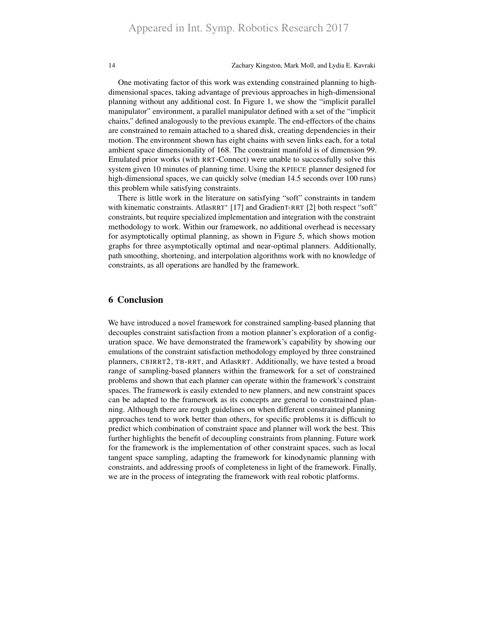One motivating factor of this work was extending constrained planning to highdimensional spaces, taking advantage of previous approaches in high-dimensional planning without any additional cost. In Figure 1, we show the "implicit parallel manipulator" environment, a parallel manipulator defined with a set of the "implicit chains," defined analogously to the previous example. The end-effectors of the chains are constrained to remain attached to a shared disk, creating dependencies in their motion. The environment shown has eight chains with seven links each, for a total ambient space dimensionality of 168. The constraint manifold is of dimension 99. Emulated prior works (with RRT-Connect) were unable to successfully solve this system given 10 minutes of planning time. Using the KPIECE planner designed for high-dimensional spaces, we can quickly solve (median 14.5 seconds over 100 runs) this problem while satisfying constraints.

There is little work in the literature on satisfying "soft" constraints in tandem with kinematic constraints. AtlasRRT<sup>\*</sup> [17] and GradienT-RRT [2] both respect "soft" constraints, but require specialized implementation and integration with the constraint methodology to work. Within our framework, no additional overhead is necessary for asymptotically optimal planning, as shown in Figure 5, which shows motion graphs for three asymptotically optimal and near-optimal planners. Additionally, path smoothing, shortening, and interpolation algorithms work with no knowledge of constraints, as all operations are handled by the framework.

### 6 Conclusion

We have introduced a novel framework for constrained sampling-based planning that decouples constraint satisfaction from a motion planner's exploration of a configuration space. We have demonstrated the framework's capability by showing our emulations of the constraint satisfaction methodology employed by three constrained planners, CBIRRT2, TB-RRT, and AtlasRRT. Additionally, we have tested a broad range of sampling-based planners within the framework for a set of constrained problems and shown that each planner can operate within the framework's constraint spaces. The framework is easily extended to new planners, and new constraint spaces can be adapted to the framework as its concepts are general to constrained planning. Although there are rough guidelines on when different constrained planning approaches tend to work better than others, for specific problems it is difficult to predict which combination of constraint space and planner will work the best. This further highlights the benefit of decoupling constraints from planning. Future work for the framework is the implementation of other constraint spaces, such as local tangent space sampling, adapting the framework for kinodynamic planning with constraints, and addressing proofs of completeness in light of the framework. Finally, we are in the process of integrating the framework with real robotic platforms.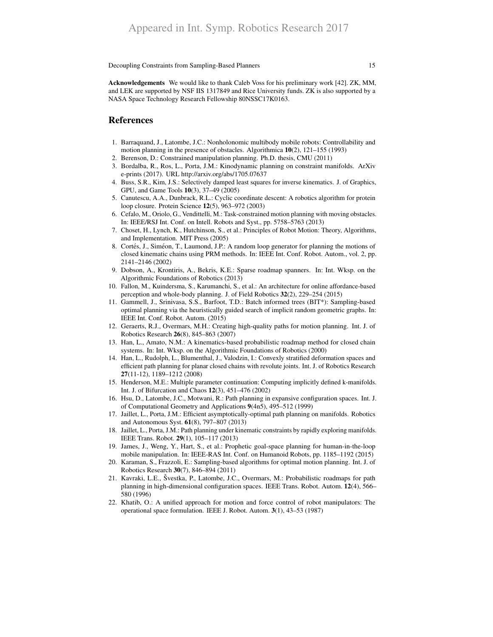Acknowledgements We would like to thank Caleb Voss for his preliminary work [42]. ZK, MM, and LEK are supported by NSF IIS 1317849 and Rice University funds. ZK is also supported by a NASA Space Technology Research Fellowship 80NSSC17K0163.

# **References**

- 1. Barraquand, J., Latombe, J.C.: Nonholonomic multibody mobile robots: Controllability and motion planning in the presence of obstacles. Algorithmica 10(2), 121–155 (1993)
- 2. Berenson, D.: Constrained manipulation planning. Ph.D. thesis, CMU (2011)
- 3. Bordalba, R., Ros, L., Porta, J.M.: Kinodynamic planning on constraint manifolds. ArXiv e-prints (2017). URL http://arxiv.org/abs/1705.07637
- 4. Buss, S.R., Kim, J.S.: Selectively damped least squares for inverse kinematics. J. of Graphics, GPU, and Game Tools 10(3), 37–49 (2005)
- 5. Canutescu, A.A., Dunbrack, R.L.: Cyclic coordinate descent: A robotics algorithm for protein loop closure. Protein Science 12(5), 963–972 (2003)
- 6. Cefalo, M., Oriolo, G., Vendittelli, M.: Task-constrained motion planning with moving obstacles. In: IEEE/RSJ Int. Conf. on Intell. Robots and Syst., pp. 5758–5763 (2013)
- 7. Choset, H., Lynch, K., Hutchinson, S., et al.: Principles of Robot Motion: Theory, Algorithms, and Implementation. MIT Press (2005)
- 8. Cortés, J., Siméon, T., Laumond, J.P.: A random loop generator for planning the motions of closed kinematic chains using PRM methods. In: IEEE Int. Conf. Robot. Autom., vol. 2, pp. 2141–2146 (2002)
- 9. Dobson, A., Krontiris, A., Bekris, K.E.: Sparse roadmap spanners. In: Int. Wksp. on the Algorithmic Foundations of Robotics (2013)
- 10. Fallon, M., Kuindersma, S., Karumanchi, S., et al.: An architecture for online affordance-based perception and whole-body planning. J. of Field Robotics 32(2), 229–254 (2015)
- 11. Gammell, J., Srinivasa, S.S., Barfoot, T.D.: Batch informed trees (BIT\*): Sampling-based optimal planning via the heuristically guided search of implicit random geometric graphs. In: IEEE Int. Conf. Robot. Autom. (2015)
- 12. Geraerts, R.J., Overmars, M.H.: Creating high-quality paths for motion planning. Int. J. of Robotics Research 26(8), 845–863 (2007)
- 13. Han, L., Amato, N.M.: A kinematics-based probabilistic roadmap method for closed chain systems. In: Int. Wksp. on the Algorithmic Foundations of Robotics (2000)
- 14. Han, L., Rudolph, L., Blumenthal, J., Valodzin, I.: Convexly stratified deformation spaces and efficient path planning for planar closed chains with revolute joints. Int. J. of Robotics Research 27(11-12), 1189–1212 (2008)
- 15. Henderson, M.E.: Multiple parameter continuation: Computing implicitly defined k-manifolds. Int. J. of Bifurcation and Chaos 12(3), 451–476 (2002)
- 16. Hsu, D., Latombe, J.C., Motwani, R.: Path planning in expansive configuration spaces. Int. J. of Computational Geometry and Applications 9(4n5), 495–512 (1999)
- 17. Jaillet, L., Porta, J.M.: Efficient asymptotically-optimal path planning on manifolds. Robotics and Autonomous Syst. 61(8), 797–807 (2013)
- 18. Jaillet, L., Porta, J.M.: Path planning under kinematic constraints by rapidly exploring manifolds. IEEE Trans. Robot. 29(1), 105–117 (2013)
- 19. James, J., Weng, Y., Hart, S., et al.: Prophetic goal-space planning for human-in-the-loop mobile manipulation. In: IEEE-RAS Int. Conf. on Humanoid Robots, pp. 1185–1192 (2015)
- 20. Karaman, S., Frazzoli, E.: Sampling-based algorithms for optimal motion planning. Int. J. of Robotics Research 30(7), 846–894 (2011)
- 21. Kavraki, L.E., Svestka, P., Latombe, J.C., Overmars, M.: Probabilistic roadmaps for path ˇ planning in high-dimensional configuration spaces. IEEE Trans. Robot. Autom. 12(4), 566– 580 (1996)
- 22. Khatib, O.: A unified approach for motion and force control of robot manipulators: The operational space formulation. IEEE J. Robot. Autom. 3(1), 43–53 (1987)